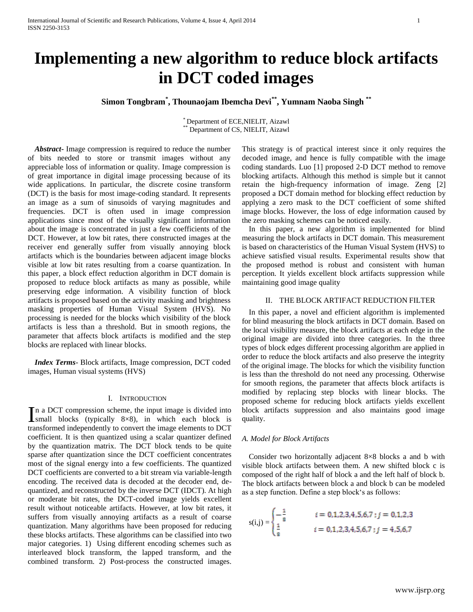# **Implementing a new algorithm to reduce block artifacts in DCT coded images**

**Simon Tongbram\* , Thounaojam Ibemcha Devi\*\* , Yumnam Naoba Singh \*\***

\* Department of ECE,NIELIT, Aizawl Department of CS, NIELIT, Aizawl

*Abstract***-** Image compression is required to reduce the number of bits needed to store or transmit images without any appreciable loss of information or quality. Image compression is of great importance in digital image processing because of its wide applications. In particular, the discrete cosine transform (DCT) is the basis for most image-coding standard. It represents an image as a sum of sinusoids of varying magnitudes and frequencies. DCT is often used in image compression applications since most of the visually significant information about the image is concentrated in just a few coefficients of the DCT. However, at low bit rates, there constructed images at the receiver end generally suffer from visually annoying block artifacts which is the boundaries between adjacent image blocks visible at low bit rates resulting from a coarse quantization. In this paper, a block effect reduction algorithm in DCT domain is proposed to reduce block artifacts as many as possible, while preserving edge information. A visibility function of block artifacts is proposed based on the activity masking and brightness masking properties of Human Visual System (HVS). No processing is needed for the blocks which visibility of the block artifacts is less than a threshold. But in smooth regions, the parameter that affects block artifacts is modified and the step blocks are replaced with linear blocks.

*Index Terms*- Block artifacts, Image compression, DCT coded images, Human visual systems (HVS)

#### I. INTRODUCTION

n a DCT compression scheme, the input image is divided into In a DCT compression scheme, the input image is divided into<br>
Ismall blocks (typically  $8\times 8$ ), in which each block is transformed independently to convert the image elements to DCT coefficient. It is then quantized using a scalar quantizer defined by the quantization matrix. The DCT block tends to be quite sparse after quantization since the DCT coefficient concentrates most of the signal energy into a few coefficients. The quantized DCT coefficients are converted to a bit stream via variable-length encoding. The received data is decoded at the decoder end, dequantized, and reconstructed by the inverse DCT (IDCT). At high or moderate bit rates, the DCT-coded image yields excellent result without noticeable artifacts. However, at low bit rates, it suffers from visually annoying artifacts as a result of coarse quantization. Many algorithms have been proposed for reducing these blocks artifacts. These algorithms can be classified into two major categories. 1) Using different encoding schemes such as interleaved block transform, the lapped transform, and the combined transform. 2) Post-process the constructed images.

This strategy is of practical interest since it only requires the decoded image, and hence is fully compatible with the image coding standards. Luo [1] proposed 2-D DCT method to remove blocking artifacts. Although this method is simple but it cannot retain the high-frequency information of image. Zeng [2] proposed a DCT domain method for blocking effect reduction by applying a zero mask to the DCT coefficient of some shifted image blocks. However, the loss of edge information caused by the zero masking schemes can be noticed easily.

In this paper, a new algorithm is implemented for blind measuring the block artifacts in DCT domain. This measurement is based on characteristics of the Human Visual System (HVS) to achieve satisfied visual results. Experimental results show that the proposed method is robust and consistent with human perception. It yields excellent block artifacts suppression while maintaining good image quality

## II. THE BLOCK ARTIFACT REDUCTION FILTER

In this paper, a novel and efficient algorithm is implemented for blind measuring the block artifacts in DCT domain. Based on the local visibility measure, the block artifacts at each edge in the original image are divided into three categories. In the three types of block edges different processing algorithm are applied in order to reduce the block artifacts and also preserve the integrity of the original image. The blocks for which the visibility function is less than the threshold do not need any processing. Otherwise for smooth regions, the parameter that affects block artifacts is modified by replacing step blocks with linear blocks. The proposed scheme for reducing block artifacts yields excellent block artifacts suppression and also maintains good image quality.

## *A. Model for Block Artifacts*

Consider two horizontally adjacent 8×8 blocks a and b with visible block artifacts between them. A new shifted block c is composed of the right half of block a and the left half of block b. The block artifacts between block a and block b can be modeled as a step function. Define a step block's as follows:

$$
s(i,j) = \begin{cases} -\frac{1}{8} & i = 0,1,2,3,4,5,6,7; j = 0,1,2,3\\ \frac{1}{8} & i = 0,1,2,3,4,5,6,7; j = 4,5,6,7 \end{cases}
$$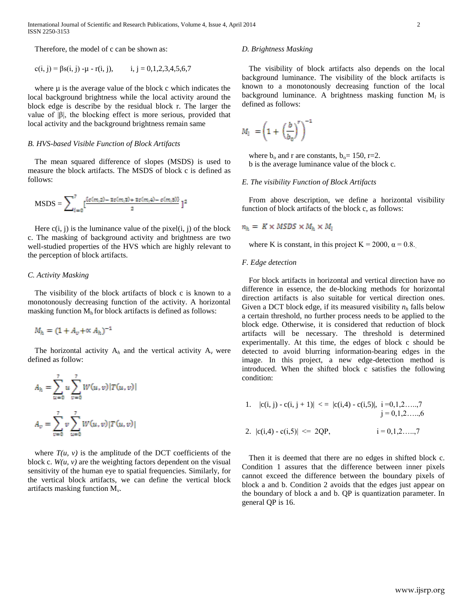International Journal of Scientific and Research Publications, Volume 4, Issue 4, April 2014 2 ISSN 2250-3153

Therefore, the model of c can be shown as:

$$
c(i, j) = \beta s(i, j) - \mu - r(i, j), \qquad i, j = 0, 1, 2, 3, 4, 5, 6, 7
$$

where  $\mu$  is the average value of the block c which indicates the local background brightness while the local activity around the block edge is describe by the residual block r. The larger the value of  $|\beta|$ , the blocking effect is more serious, provided that local activity and the background brightness remain same

#### *B. HVS-based Visible Function of Block Artifacts*

The mean squared difference of slopes (MSDS) is used to measure the block artifacts. The MSDS of block c is defined as follows:

$$
MSDS = \sum_{i=0}^{7} \left[ \frac{c(m,2) - 3c(m,3) + 3c(m,4) - c(m,5)}{2} \right]^{2}
$$

Here  $c(i, j)$  is the luminance value of the pixel $(i, j)$  of the block c. The masking of background activity and brightness are two well-studied properties of the HVS which are highly relevant to the perception of block artifacts.

# *C. Activity Masking*

The visibility of the block artifacts of block c is known to a monotonously decreasing function of the activity. A horizontal masking function  $M<sub>h</sub>$  for block artifacts is defined as follows:

$$
M_h = (1 + A_v + \alpha A_h)^{-1}
$$

The horizontal activity  $A_h$  and the vertical activity  $A_v$  were defined as follow:

$$
A_h = \sum_{u=0}^{7} u \sum_{v=0}^{7} W(u, v) |T(u, v)|
$$
  

$$
A_v = \sum_{v=0}^{7} v \sum_{u=0}^{7} W(u, v) |T(u, v)|
$$

where  $T(u, v)$  is the amplitude of the DCT coefficients of the block c.  $W(u, v)$  are the weighting factors dependent on the visual sensitivity of the human eye to spatial frequencies. Similarly, for the vertical block artifacts, we can define the vertical block artifacts masking function M*<sup>v</sup>* .

#### *D. Brightness Masking*

The visibility of block artifacts also depends on the local background luminance. The visibility of the block artifacts is known to a monotonously decreasing function of the local background luminance. A brightness masking function M*<sup>l</sup>* is defined as follows:

$$
M_l = \left(1 + \left(\frac{b}{b_0}\right)^r\right)^{-1}
$$

where  $b_0$  and r are constants,  $b_0 = 150$ , r=2. b is the average luminance value of the block c.

# *E. The visibility Function of Block Artifacts*

From above description, we define a horizontal visibility function of block artifacts of the block c, as follows:

$$
n_h = K \times MSDS \times M_h \times M_l
$$

where K is constant, in this project K = 2000,  $\alpha$  = 0.8.

# *F. Edge detection*

For block artifacts in horizontal and vertical direction have no difference in essence, the de-blocking methods for horizontal direction artifacts is also suitable for vertical direction ones. Given a DCT block edge, if its measured visibility  $n_h$  falls below a certain threshold, no further process needs to be applied to the block edge. Otherwise, it is considered that reduction of block artifacts will be necessary. The threshold is determined experimentally. At this time, the edges of block c should be detected to avoid blurring information-bearing edges in the image. In this project, a new edge-detection method is introduced. When the shifted block c satisfies the following condition:

1. 
$$
|c(i, j) - c(i, j + 1)|
$$
  $\langle = |c(i, 4) - c(i, 5)|, i = 0, 1, 2, ..., 7$   
\n $j = 0, 1, 2, ..., 6$   
\n2.  $|c(i, 4) - c(i, 5)|$   $\langle = 2QP, i = 0, 1, 2, ..., 7$ 

Then it is deemed that there are no edges in shifted block c. Condition 1 assures that the difference between inner pixels cannot exceed the difference between the boundary pixels of block a and b. Condition 2 avoids that the edges just appear on the boundary of block a and b. QP is quantization parameter. In general QP is 16.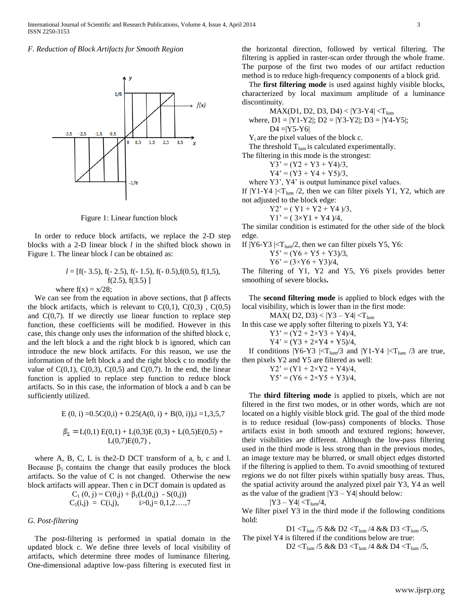*F. Reduction of Block Artifacts for Smooth Region*



Figure 1: Linear function block

In order to reduce block artifacts, we replace the 2-D step blocks with a 2-D linear block *l* in the shifted block shown in Figure 1. The linear block *l* can be obtained as:

$$
l = [f(-3.5), f(-2.5), f(-1.5), f(-0.5), f(0.5), f(1,5),f(2.5), f(3.5)]
$$
  
where f(x) = x/28:

We can see from the equation in above sections, that  $\beta$  affects the block artifacts, which is relevant to  $C(0,1)$ ,  $C(0,3)$ ,  $C(0,5)$ and  $C(0,7)$ . If we directly use linear function to replace step function, these coefficients will be modified. However in this case, this change only uses the information of the shifted block c, and the left block a and the right block b is ignored, which can introduce the new block artifacts. For this reason, we use the information of the left block a and the right block c to modify the value of  $C(0,1)$ ,  $C(0,3)$ ,  $C(0,5)$  and  $C(0,7)$ . In the end, the linear function is applied to replace step function to reduce block artifacts. So in this case, the information of block a and b can be sufficiently utilized.

$$
E(0, i) = 0.5C(0, i) + 0.25(A(0, i) + B(0, i)), i = 1, 3, 5, 7
$$

$$
\beta_1 = L(0,1) E(0,1) + L(0,3) E(0,3) + L(0,5) E(0,5) + L(0,7) E(0,7),
$$

where A, B, C, L is the2-D DCT transform of a, b, c and l. Because  $\beta_1$  contains the change that easily produces the block artifacts. So the value of C is not changed. Otherwise the new block artifacts will appear. Then c in DCT domain is updated as

$$
C_1(0, j) = C(0,j) + \beta_1(L(0,j) - S(0,j))
$$
  
\n
$$
C_1(i,j) = C(i,j), \qquad i>0, j = 0, 1, 2, ..., 7
$$

#### *G. Post-filtering*

The post-filtering is performed in spatial domain in the updated block c. We define three levels of local visibility of artifacts, which determine three modes of luminance filtering. One-dimensional adaptive low-pass filtering is executed first in

the horizontal direction, followed by vertical filtering. The filtering is applied in raster-scan order through the whole frame. The purpose of the first two modes of our artifact reduction method is to reduce high-frequency components of a block grid.

The **first filtering mode** is used against highly visible blocks, characterized by local maximum amplitude of a luminance discontinuity.

 $MAX(D1, D2, D3, D4) < |Y3-Y4| < T_{lum}$ 

where,  $D1 = |Y1-Y2|$ ;  $D2 = |Y3-Y2|$ ;  $D3 = |Y4-Y5|$ ;  $D4 = |Y5-Y6|$ 

Yi are the pixel values of the block c.

The threshold  $T_{lum}$  is calculated experimentally.

The filtering in this mode is the strongest:

 $Y3' = (Y2 + Y3 + Y4)/3$ ,

 $Y4' = (Y3 + Y4 + Y5)/3$ ,

where Y3', Y4' is output luminance pixel values.

If  $|Y1-Y4| < T_{lum}/2$ , then we can filter pixels Y1, Y2, which are not adjusted to the block edge:

 $Y2' = (Y1 + Y2 + Y4)/3$ ,

$$
Y1' = (3 \times Y1 + Y4)/4,
$$

The similar condition is estimated for the other side of the block edge.

If  $|Y6-Y3| < T_{lum}/2$ , then we can filter pixels Y5, Y6:

$$
Y5' = (Y6 + Y5 + Y3)/3,
$$

$$
Y6' = (3 \times Y6 + Y3)/4,
$$

The filtering of Y1, Y2 and Y5, Y6 pixels provides better smoothing of severe blocks**.**

The **second filtering mode** is applied to block edges with the local visibility, which is lower than in the first mode:

MAX( D2, D3) <  $|Y3 - Y4|$  <  $T_{\text{lum}}$ 

In this case we apply softer filtering to pixels Y3, Y4:

$$
Y3' = (Y2 + 2 \times Y3 + Y4)/4,\nY4' = (Y3 + 2 \times Y4 + Y5)/4
$$

$$
Y4 = (Y3 + 2 \times Y4 + Y3)/4,
$$

If conditions  $|Y6-Y3| < T_{\text{lum}}/3$  and  $|Y1-Y4| < T_{\text{lum}}/3$  are true, then pixels Y2 and Y5 are filtered as well:

$$
Y2' = (Y1 + 2 \times Y2 + Y4)/4,YS' = (Y6 + 2 \times Y5 + Y3)/4,
$$

The **third filtering mode** is applied to pixels, which are not filtered in the first two modes, or in other words, which are not located on a highly visible block grid. The goal of the third mode is to reduce residual (low-pass) components of blocks. Those artifacts exist in both smooth and textured regions; however, their visibilities are different. Although the low-pass filtering used in the third mode is less strong than in the previous modes, an image texture may be blurred, or small object edges distorted if the filtering is applied to them. To avoid smoothing of textured regions we do not filter pixels within spatially busy areas. Thus, the spatial activity around the analyzed pixel pair Y3, Y4 as well as the value of the gradient |Y3 – Y4| should below*:*

 $|Y3 - Y4| < T_{lum}/4$ ,

We filter pixel Y3 in the third mode if the following conditions hold:

D1  $&& D2  $&& D3  $,$$$ 

The pixel Y4 is filtered if the conditions below are true:

 $\label{eq:10} D2 < T_{\text{lum}}/5 \ \&\ \& \ D3 < T_{\text{lum}}/4 \ \&\ \& \ D4 < T_{\text{lum}}/5,$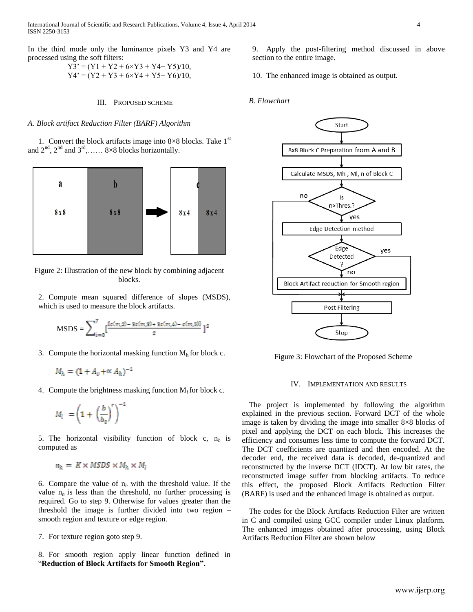International Journal of Scientific and Research Publications, Volume 4, Issue 4, April 2014 4 ISSN 2250-3153

In the third mode only the luminance pixels Y3 and Y4 are processed using the soft filters:

$$
Y3' = (Y1 + Y2 + 6 \times Y3 + Y4 + Y5)/10,
$$
  
\n
$$
Y4' = (Y2 + Y3 + 6 \times Y4 + Y5 + Y6)/10,
$$

#### III. PROPOSED SCHEME

#### *A. Block artifact Reduction Filter (BARF) Algorithm*

1. Convert the block artifacts image into  $8\times8$  blocks. Take  $1<sup>st</sup>$ and  $2^{nd}$ ,  $2^{nd}$  and  $3^{rd}$ , ...... 8×8 blocks horizontally.



Figure 2: Illustration of the new block by combining adjacent blocks.

2. Compute mean squared difference of slopes (MSDS), which is used to measure the block artifacts.

$$
MSDS = \sum_{i=0}^{7} \left[ \frac{\{c(m,2) - 3c(m,2) + 3c(m,4) - c(m,5)\}}{2} \right]^{2}
$$

3. Compute the horizontal masking function  $M<sub>h</sub>$  for block c.

$$
M_h = (1 + A_v + \alpha A_h)^{-1}
$$

4. Compute the brightness masking function  $M_l$  for block c.

$$
M_l \ = \left(1 \ + \ \left(\frac{b}{b_0}\right)^r\right)^{-1}
$$

5. The horizontal visibility function of block c, n*<sup>h</sup>* is computed as

$$
n_h = K \times MSDS \times M_h \times M_l
$$

6. Compare the value of  $n_h$  with the threshold value. If the value  $n_h$  is less than the threshold, no further processing is required. Go to step 9. Otherwise for values greater than the threshold the image is further divided into two region – smooth region and texture or edge region.

7. For texture region goto step 9.

8. For smooth region apply linear function defined in "**Reduction of Block Artifacts for Smooth Region".**

9. Apply the post-filtering method discussed in above section to the entire image.

10. The enhanced image is obtained as output.

#### *B. Flowchart*



Figure 3: Flowchart of the Proposed Scheme

#### IV. IMPLEMENTATION AND RESULTS

The project is implemented by following the algorithm explained in the previous section. Forward DCT of the whole image is taken by dividing the image into smaller  $8\times8$  blocks of pixel and applying the DCT on each block. This increases the efficiency and consumes less time to compute the forward DCT. The DCT coefficients are quantized and then encoded. At the decoder end, the received data is decoded, de-quantized and reconstructed by the inverse DCT (IDCT). At low bit rates, the reconstructed image suffer from blocking artifacts. To reduce this effect, the proposed Block Artifacts Reduction Filter (BARF) is used and the enhanced image is obtained as output.

The codes for the Block Artifacts Reduction Filter are written in C and compiled using GCC compiler under Linux platform. The enhanced images obtained after processing, using Block Artifacts Reduction Filter are shown below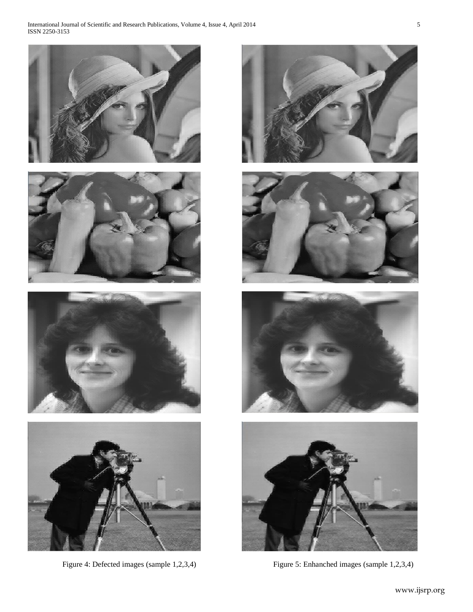











Figure 4: Defected images (sample 1,2,3,4) Figure 5: Enhanched images (sample 1,2,3,4)